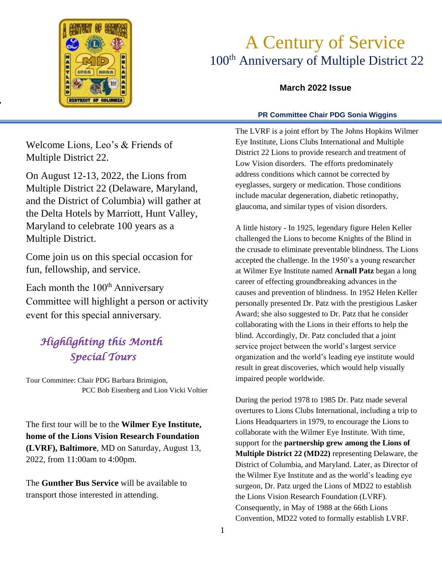

*"* 

# A Century of Service 100<sup>th</sup> Anniversary of Multiple District 22

## **March 2022 Issue**

### **PR Committee Chair PDG Sonia Wiggins**

Welcome Lions, Leo's & Friends of Multiple District 22.

On August 12-13, 2022, the Lions from Multiple District 22 (Delaware, Maryland, and the District of Columbia) will gather at the Delta Hotels by Marriott, Hunt Valley, Maryland to celebrate 100 years as a Multiple District.

Come join us on this special occasion for fun, fellowship, and service.

Each month the 100<sup>th</sup> Anniversary Committee will highlight a person or activity event for this special anniversary.

## *Highlighting this Month Special Tours*

Tour Committee: Chair PDG Barbara Brimigion, PCC Bob Eisenberg and Lion Vicki Voltier

The first tour will be to the **Wilmer Eye Institute, home of the Lions Vision Research Foundation (LVRF), Baltimore**, MD on Saturday, August 13, 2022, from 11:00am to 4:00pm.

The **Gunther Bus Service** will be available to transport those interested in attending.

The LVRF is a joint effort by The Johns Hopkins Wilmer<br>Eve Institute, Lions Clubs International and Multiple Eye Institute, Lions Clubs International and Multiple District 22 Lions to provide research and treatment of Low Vision disorders. The efforts predominately address conditions which cannot be corrected by eyeglasses, surgery or medication. Those conditions include macular degeneration, diabetic retinopathy, glaucoma, and similar types of vision disorders.

A little history - In 1925, legendary figure Helen Keller challenged the Lions to become Knights of the Blind in the crusade to eliminate preventable blindness. The Lions accepted the challenge. In the 1950's a young researcher at Wilmer Eye Institute named **Arnall Patz** began a long career of effecting groundbreaking advances in the causes and prevention of blindness. In 1952 Helen Keller personally presented Dr. Patz with the prestigious Lasker Award; she also suggested to Dr. Patz that he consider collaborating with the Lions in their efforts to help the blind. Accordingly, Dr. Patz concluded that a joint service project between the world's largest service organization and the world's leading eye institute would result in great discoveries, which would help visually impaired people worldwide.

During the period 1978 to 1985 Dr. Patz made several overtures to Lions Clubs International, including a trip to Lions Headquarters in 1979, to encourage the Lions to collaborate with the Wilmer Eye Institute. With time, support for the **partnership grew among the Lions of Multiple District 22 (MD22)** representing Delaware, the District of Columbia, and Maryland. Later, as Director of the Wilmer Eye Institute and as the world's leading eye surgeon, Dr. Patz urged the Lions of MD22 to establish the Lions Vision Research Foundation (LVRF). Consequently, in May of 1988 at the 66th Lions Convention, MD22 voted to formally establish LVRF.

 $\overline{a}$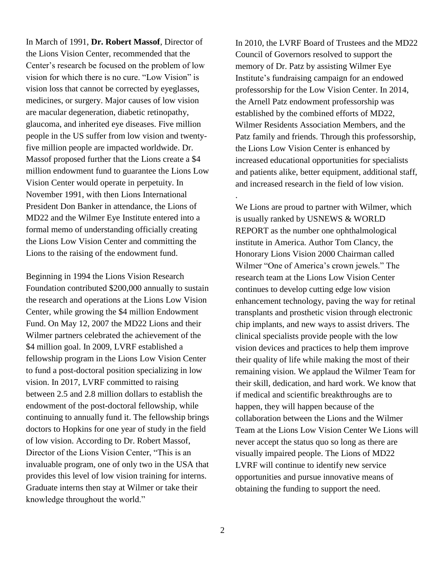In March of 1991, **Dr. Robert Massof**, Director of the Lions Vision Center, recommended that the Center's research be focused on the problem of low vision for which there is no cure. "Low Vision" is vision loss that cannot be corrected by eyeglasses, medicines, or surgery. Major causes of low vision are macular degeneration, diabetic retinopathy, glaucoma, and inherited eye diseases. Five million people in the US suffer from low vision and twentyfive million people are impacted worldwide. Dr. Massof proposed further that the Lions create a \$4 million endowment fund to guarantee the Lions Low Vision Center would operate in perpetuity. In November 1991, with then Lions International President Don Banker in attendance, the Lions of MD22 and the Wilmer Eye Institute entered into a formal memo of understanding officially creating the Lions Low Vision Center and committing the Lions to the raising of the endowment fund.

Beginning in 1994 the Lions Vision Research Foundation contributed \$200,000 annually to sustain the research and operations at the Lions Low Vision Center, while growing the \$4 million Endowment Fund. On May 12, 2007 the MD22 Lions and their Wilmer partners celebrated the achievement of the \$4 million goal. In 2009, LVRF established a fellowship program in the Lions Low Vision Center to fund a post-doctoral position specializing in low vision. In 2017, LVRF committed to raising between 2.5 and 2.8 million dollars to establish the endowment of the post-doctoral fellowship, while continuing to annually fund it. The fellowship brings doctors to Hopkins for one year of study in the field of low vision. According to Dr. Robert Massof, Director of the Lions Vision Center, "This is an invaluable program, one of only two in the USA that provides this level of low vision training for interns. Graduate interns then stay at Wilmer or take their knowledge throughout the world."

.

In 2010, the LVRF Board of Trustees and the MD22 Council of Governors resolved to support the memory of Dr. Patz by assisting Wilmer Eye Institute's fundraising campaign for an endowed professorship for the Low Vision Center. In 2014, the Arnell Patz endowment professorship was established by the combined efforts of MD22, Wilmer Residents Association Members, and the Patz family and friends. Through this professorship, the Lions Low Vision Center is enhanced by increased educational opportunities for specialists and patients alike, better equipment, additional staff, and increased research in the field of low vision.

We Lions are proud to partner with Wilmer, which is usually ranked by USNEWS & WORLD REPORT as the number one ophthalmological institute in America. Author Tom Clancy, the Honorary Lions Vision 2000 Chairman called Wilmer "One of America's crown jewels." The research team at the Lions Low Vision Center continues to develop cutting edge low vision enhancement technology, paving the way for retinal transplants and prosthetic vision through electronic chip implants, and new ways to assist drivers. The clinical specialists provide people with the low vision devices and practices to help them improve their quality of life while making the most of their remaining vision. We applaud the Wilmer Team for their skill, dedication, and hard work. We know that if medical and scientific breakthroughs are to happen, they will happen because of the collaboration between the Lions and the Wilmer Team at the Lions Low Vision Center We Lions will never accept the status quo so long as there are visually impaired people. The Lions of MD22 LVRF will continue to identify new service opportunities and pursue innovative means of obtaining the funding to support the need.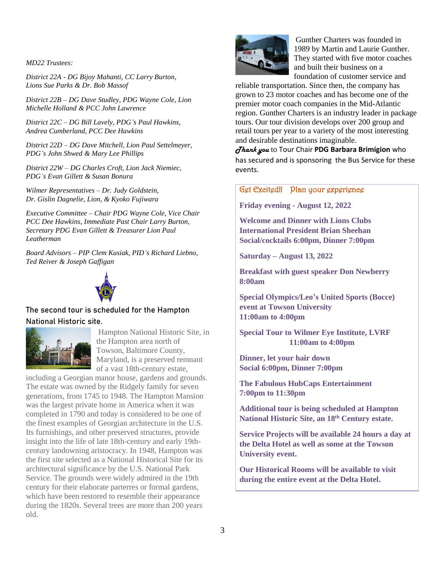*MD22 Trustees:*

*District 22A - DG Bijoy Mahanti, CC Larry Burton, Lions Sue Parks & Dr. Bob Massof*

*District 22B – DG Dave Studley, PDG Wayne Cole, Lion Michelle Holland & PCC John Lawrence*

*District 22C – DG Bill Lavely, PDG's Paul Hawkins, Andrea Cumberland, PCC Dee Hawkins*

*District 22D – DG Dave Mitchell, Lion Paul Settelmeyer, PDG's John Shwed & Mary Lee Phillips*

*District 22W – DG Charles Croft, Lion Jack Niemiec, PDG's Evan Gillett & Susan Bonura*

*Wilmer Representatives – Dr. Judy Goldstein, Dr. Gislin Dagnelie, Lion, & Kyoko Fujiwara*

*Executive Committee – Chair PDG Wayne Cole, Vice Chair PCC Dee Hawkins, Immediate Past Chair Larry Burton, Secretary PDG Evan Gillett & Treasurer Lion Paul Leatherman*

*Board Advisors – PIP Clem Kusiak, PID's Richard Liebno, Ted Reiver & Joseph Gaffigan*



### The second tour is scheduled for the Hampton National Historic site.



Hampton National Historic Site, in the Hampton area north of Towson, Baltimore County, Maryland, is a preserved remnant of a vast 18th-century estate,

including a Georgian manor house, gardens and grounds. The estate was owned by the Ridgely family for seven generations, from 1745 to 1948. The Hampton Mansion was the largest private home in America when it was completed in 1790 and today is considered to be one of the finest examples of Georgian architecture in the U.S. Its furnishings, and other preserved structures, provide insight into the life of late 18th-century and early 19thcentury landowning aristocracy. In 1948, Hampton was the first site selected as a National Historical Site for its architectural significance by the U.S. National Park Service. The grounds were widely admired in the 19th century for their elaborate parterres or formal gardens, which have been restored to resemble their appearance during the 1820s. Several trees are more than 200 years old.



Gunther Charters was founded in 1989 by Martin and Laurie Gunther. They started with five motor coaches and built their business on a foundation of customer service and

reliable transportation. Since then, the company has grown to 23 motor coaches and has become one of the premier motor coach companies in the Mid-Atlantic region. Gunther Charters is an industry leader in package tours. Our tour division develops over 200 group and retail tours per year to a variety of the most interesting and desirable destinations imaginable.

*Thank you* to Tour Chair **PDG Barbara Brimigion** who has secured and is sponsoring the Bus Service for these events.

### Get Excited!! Plan your experience

**Friday evening - August 12, 2022**

**Welcome and Dinner with Lions Clubs International President Brian Sheehan Social/cocktails 6:00pm, Dinner 7:00pm**

**Saturday – August 13, 2022**

**Breakfast with guest speaker Don Newberry 8:00am** 

**Special Olympics/Leo's United Sports (Bocce) event at Towson University 11:00am to 4:00pm** 

**Special Tour to Wilmer Eye Institute, LVRF 11:00am to 4:00pm**

**Dinner, let your hair down Social 6:00pm, Dinner 7:00pm**

**The Fabulous HubCaps Entertainment 7:00pm to 11:30pm**

**Additional tour is being scheduled at Hampton National Historic Site, an 18th Century estate.**

**Service Projects will be available 24 hours a day at the Delta Hotel as well as some at the Towson University event.**

**Our Historical Rooms will be available to visit during the entire event at the Delta Hotel.**